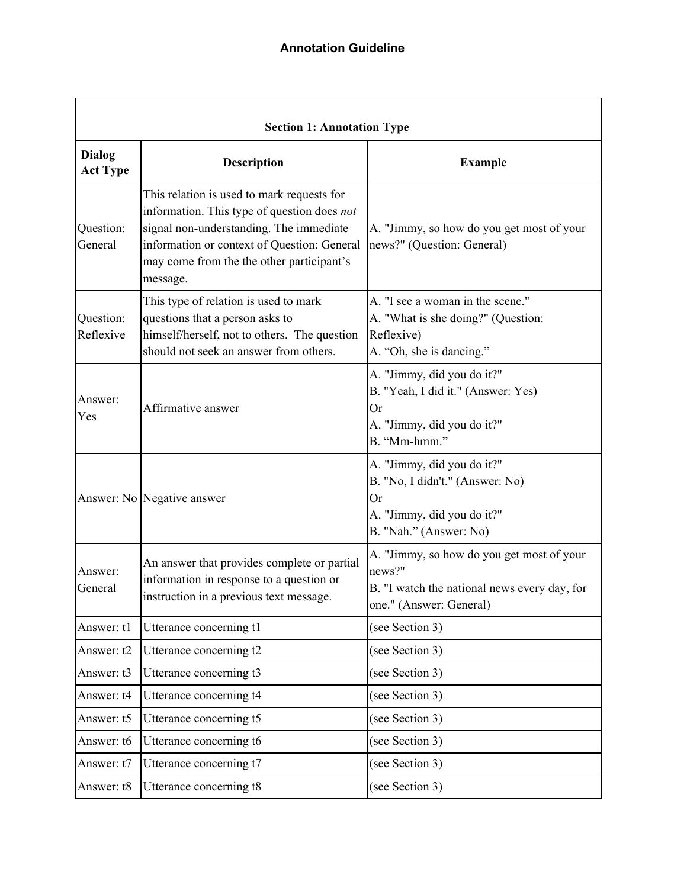| <b>Section 1: Annotation Type</b> |                                                                                                                                                                                                                                              |                                                                                                                                    |  |  |
|-----------------------------------|----------------------------------------------------------------------------------------------------------------------------------------------------------------------------------------------------------------------------------------------|------------------------------------------------------------------------------------------------------------------------------------|--|--|
| <b>Dialog</b><br><b>Act Type</b>  | <b>Description</b>                                                                                                                                                                                                                           | <b>Example</b>                                                                                                                     |  |  |
| Question:<br>General              | This relation is used to mark requests for<br>information. This type of question does not<br>signal non-understanding. The immediate<br>information or context of Question: General<br>may come from the the other participant's<br>message. | A. "Jimmy, so how do you get most of your<br>news?" (Question: General)                                                            |  |  |
| Question:<br>Reflexive            | This type of relation is used to mark<br>questions that a person asks to<br>himself/herself, not to others. The question<br>should not seek an answer from others.                                                                           | A. "I see a woman in the scene."<br>A. "What is she doing?" (Question:<br>Reflexive)<br>A. "Oh, she is dancing."                   |  |  |
| Answer:<br>Yes                    | Affirmative answer                                                                                                                                                                                                                           | A. "Jimmy, did you do it?"<br>B. "Yeah, I did it." (Answer: Yes)<br><b>Or</b><br>A. "Jimmy, did you do it?"<br>B. "Mm-hmm."        |  |  |
|                                   | Answer: No Negative answer                                                                                                                                                                                                                   | A. "Jimmy, did you do it?"<br>B. "No, I didn't." (Answer: No)<br><b>Or</b><br>A. "Jimmy, did you do it?"<br>B. "Nah." (Answer: No) |  |  |
| Answer:<br>General                | An answer that provides complete or partial<br>information in response to a question or<br>instruction in a previous text message.                                                                                                           | A. "Jimmy, so how do you get most of your<br>news?"<br>B. "I watch the national news every day, for<br>one." (Answer: General)     |  |  |
| Answer: t1                        | Utterance concerning t1                                                                                                                                                                                                                      | (see Section 3)                                                                                                                    |  |  |
| Answer: t2                        | Utterance concerning t2                                                                                                                                                                                                                      | (see Section 3)                                                                                                                    |  |  |
| Answer: t3                        | Utterance concerning t3                                                                                                                                                                                                                      | (see Section 3)                                                                                                                    |  |  |
| Answer: t4                        | Utterance concerning t4                                                                                                                                                                                                                      | (see Section 3)                                                                                                                    |  |  |
| Answer: t5                        | Utterance concerning t5                                                                                                                                                                                                                      | (see Section 3)                                                                                                                    |  |  |
| Answer: t6                        | Utterance concerning t6                                                                                                                                                                                                                      | (see Section 3)                                                                                                                    |  |  |
| Answer: t7                        | Utterance concerning t7                                                                                                                                                                                                                      | (see Section 3)                                                                                                                    |  |  |
| Answer: t8                        | Utterance concerning t8                                                                                                                                                                                                                      | (see Section 3)                                                                                                                    |  |  |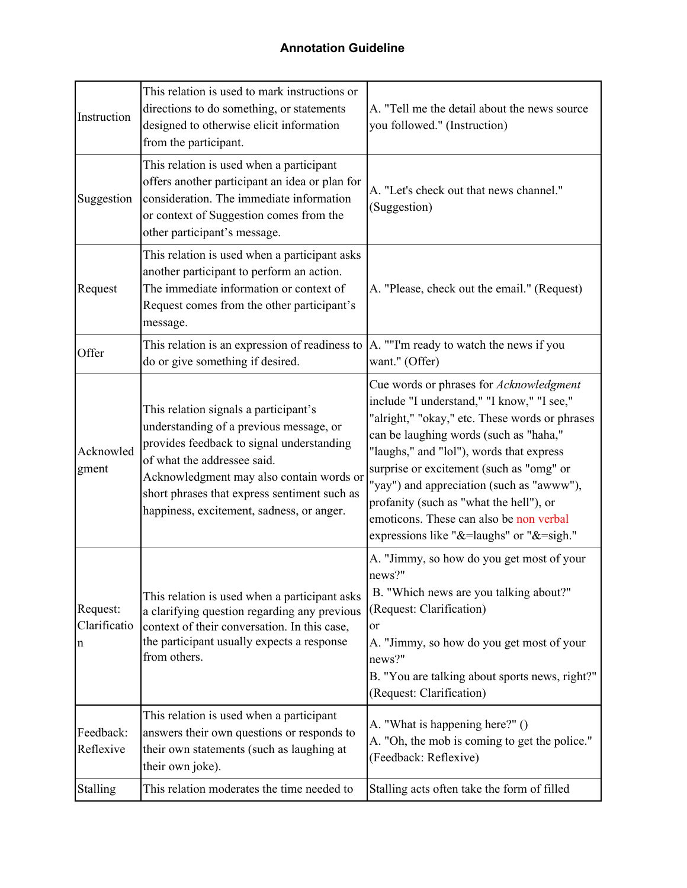| Instruction                             | This relation is used to mark instructions or<br>directions to do something, or statements<br>designed to otherwise elicit information<br>from the participant.                                                                                                                                       | A. "Tell me the detail about the news source<br>you followed." (Instruction)                                                                                                                                                                                                                                                                                                                                                                             |
|-----------------------------------------|-------------------------------------------------------------------------------------------------------------------------------------------------------------------------------------------------------------------------------------------------------------------------------------------------------|----------------------------------------------------------------------------------------------------------------------------------------------------------------------------------------------------------------------------------------------------------------------------------------------------------------------------------------------------------------------------------------------------------------------------------------------------------|
| Suggestion                              | This relation is used when a participant<br>offers another participant an idea or plan for<br>consideration. The immediate information<br>or context of Suggestion comes from the<br>other participant's message.                                                                                     | A. "Let's check out that news channel."<br>(Suggestion)                                                                                                                                                                                                                                                                                                                                                                                                  |
| Request                                 | This relation is used when a participant asks<br>another participant to perform an action.<br>The immediate information or context of<br>Request comes from the other participant's<br>message.                                                                                                       | A. "Please, check out the email." (Request)                                                                                                                                                                                                                                                                                                                                                                                                              |
| Offer                                   | This relation is an expression of readiness to<br>do or give something if desired.                                                                                                                                                                                                                    | A. ""I'm ready to watch the news if you<br>want." (Offer)                                                                                                                                                                                                                                                                                                                                                                                                |
| Acknowled<br>gment                      | This relation signals a participant's<br>understanding of a previous message, or<br>provides feedback to signal understanding<br>of what the addressee said.<br>Acknowledgment may also contain words or<br>short phrases that express sentiment such as<br>happiness, excitement, sadness, or anger. | Cue words or phrases for Acknowledgment<br>include "I understand," "I know," "I see,"<br>"alright," "okay," etc. These words or phrases<br>can be laughing words (such as "haha,"<br>"laughs," and "lol"), words that express<br>surprise or excitement (such as "omg" or<br>"yay") and appreciation (such as "awww"),<br>profanity (such as "what the hell"), or<br>emoticons. These can also be non verbal<br>expressions like "&=laughs" or "&=sigh." |
| Request:<br>Clarificatio<br>$\mathbf n$ | This relation is used when a participant asks<br>a clarifying question regarding any previous<br>context of their conversation. In this case,<br>the participant usually expects a response<br>from others.                                                                                           | A. "Jimmy, so how do you get most of your<br>news?"<br>B. "Which news are you talking about?"<br>(Request: Clarification)<br>or<br>A. "Jimmy, so how do you get most of your<br>news?"<br>B. "You are talking about sports news, right?"<br>(Request: Clarification)                                                                                                                                                                                     |
| Feedback:<br>Reflexive                  | This relation is used when a participant<br>answers their own questions or responds to<br>their own statements (such as laughing at<br>their own joke).                                                                                                                                               | A. "What is happening here?" ()<br>A. "Oh, the mob is coming to get the police."<br>(Feedback: Reflexive)                                                                                                                                                                                                                                                                                                                                                |
| <b>Stalling</b>                         | This relation moderates the time needed to                                                                                                                                                                                                                                                            | Stalling acts often take the form of filled                                                                                                                                                                                                                                                                                                                                                                                                              |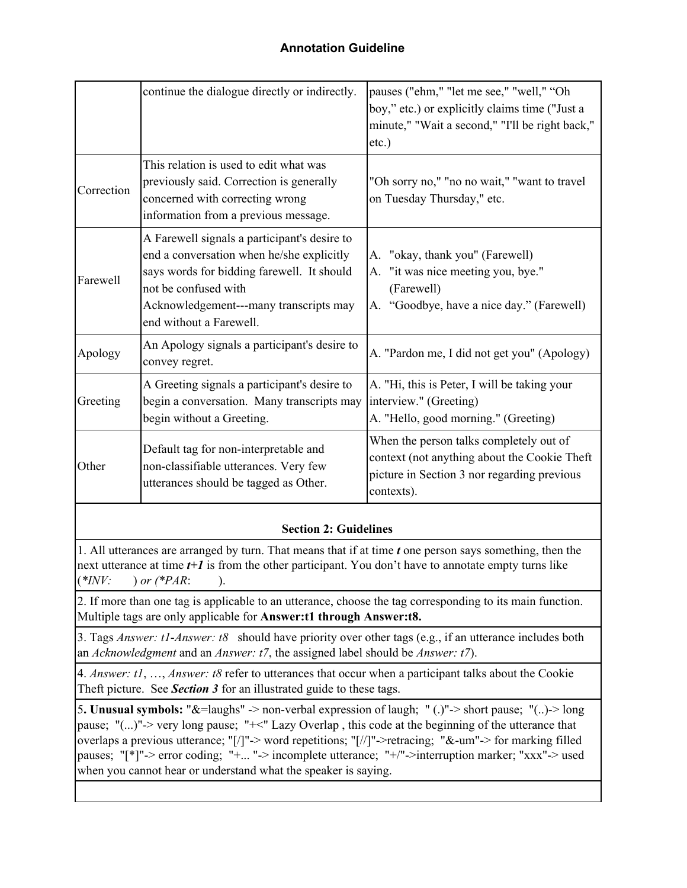|                                                                                                                                                                                                                                                                                                                                                                                                                                                                                            | continue the dialogue directly or indirectly.                                                                                                                                                                                        | pauses ("ehm," "let me see," "well," "Oh<br>boy," etc.) or explicitly claims time ("Just a<br>minute," "Wait a second," "I'll be right back,"<br>$etc.$ ) |  |  |
|--------------------------------------------------------------------------------------------------------------------------------------------------------------------------------------------------------------------------------------------------------------------------------------------------------------------------------------------------------------------------------------------------------------------------------------------------------------------------------------------|--------------------------------------------------------------------------------------------------------------------------------------------------------------------------------------------------------------------------------------|-----------------------------------------------------------------------------------------------------------------------------------------------------------|--|--|
| Correction                                                                                                                                                                                                                                                                                                                                                                                                                                                                                 | This relation is used to edit what was<br>previously said. Correction is generally<br>concerned with correcting wrong<br>information from a previous message.                                                                        | "Oh sorry no," "no no wait," "want to travel"<br>on Tuesday Thursday," etc.                                                                               |  |  |
| Farewell                                                                                                                                                                                                                                                                                                                                                                                                                                                                                   | A Farewell signals a participant's desire to<br>end a conversation when he/she explicitly<br>says words for bidding farewell. It should<br>not be confused with<br>Acknowledgement---many transcripts may<br>end without a Farewell. | "okay, thank you" (Farewell)<br>А.<br>A. "it was nice meeting you, bye."<br>(Farewell)<br>A. "Goodbye, have a nice day." (Farewell)                       |  |  |
| Apology                                                                                                                                                                                                                                                                                                                                                                                                                                                                                    | An Apology signals a participant's desire to<br>convey regret.                                                                                                                                                                       | A. "Pardon me, I did not get you" (Apology)                                                                                                               |  |  |
| Greeting                                                                                                                                                                                                                                                                                                                                                                                                                                                                                   | A Greeting signals a participant's desire to<br>begin a conversation. Many transcripts may<br>begin without a Greeting.                                                                                                              | A. "Hi, this is Peter, I will be taking your<br>interview." (Greeting)<br>A. "Hello, good morning." (Greeting)                                            |  |  |
| Other                                                                                                                                                                                                                                                                                                                                                                                                                                                                                      | Default tag for non-interpretable and<br>non-classifiable utterances. Very few<br>utterances should be tagged as Other.                                                                                                              | When the person talks completely out of<br>context (not anything about the Cookie Theft<br>picture in Section 3 nor regarding previous<br>contexts).      |  |  |
| <b>Section 2: Guidelines</b>                                                                                                                                                                                                                                                                                                                                                                                                                                                               |                                                                                                                                                                                                                                      |                                                                                                                                                           |  |  |
| 1. All utterances are arranged by turn. That means that if at time t one person says something, then the<br>next utterance at time t+1 is from the other participant. You don't have to annotate empty turns like<br>$(*INV:$<br>) or $(*PAR:$<br>$\cdot$                                                                                                                                                                                                                                  |                                                                                                                                                                                                                                      |                                                                                                                                                           |  |  |
| 2. If more than one tag is applicable to an utterance, choose the tag corresponding to its main function.<br>Multiple tags are only applicable for Answer:t1 through Answer:t8.                                                                                                                                                                                                                                                                                                            |                                                                                                                                                                                                                                      |                                                                                                                                                           |  |  |
| 3. Tags Answer: t1-Answer: t8 should have priority over other tags (e.g., if an utterance includes both<br>an Acknowledgment and an Answer: $t$ 7, the assigned label should be Answer: $t$ 7).                                                                                                                                                                                                                                                                                            |                                                                                                                                                                                                                                      |                                                                                                                                                           |  |  |
| 4. Answer: t1, , Answer: t8 refer to utterances that occur when a participant talks about the Cookie<br>Theft picture. See Section 3 for an illustrated guide to these tags.                                                                                                                                                                                                                                                                                                               |                                                                                                                                                                                                                                      |                                                                                                                                                           |  |  |
| 5. Unusual symbols: "&=laughs" -> non-verbal expression of laugh; "(.)"-> short pause; "()-> long<br>pause; "()"-> very long pause; "+<" Lazy Overlap, this code at the beginning of the utterance that<br>overlaps a previous utterance; "[/]"-> word repetitions; "[//]"->retracing; "&-um"-> for marking filled<br>pauses; "[*]"-> error coding; "+ "-> incomplete utterance; "+/"->interruption marker; "xxx"-> used<br>when you cannot hear or understand what the speaker is saying. |                                                                                                                                                                                                                                      |                                                                                                                                                           |  |  |
|                                                                                                                                                                                                                                                                                                                                                                                                                                                                                            |                                                                                                                                                                                                                                      |                                                                                                                                                           |  |  |